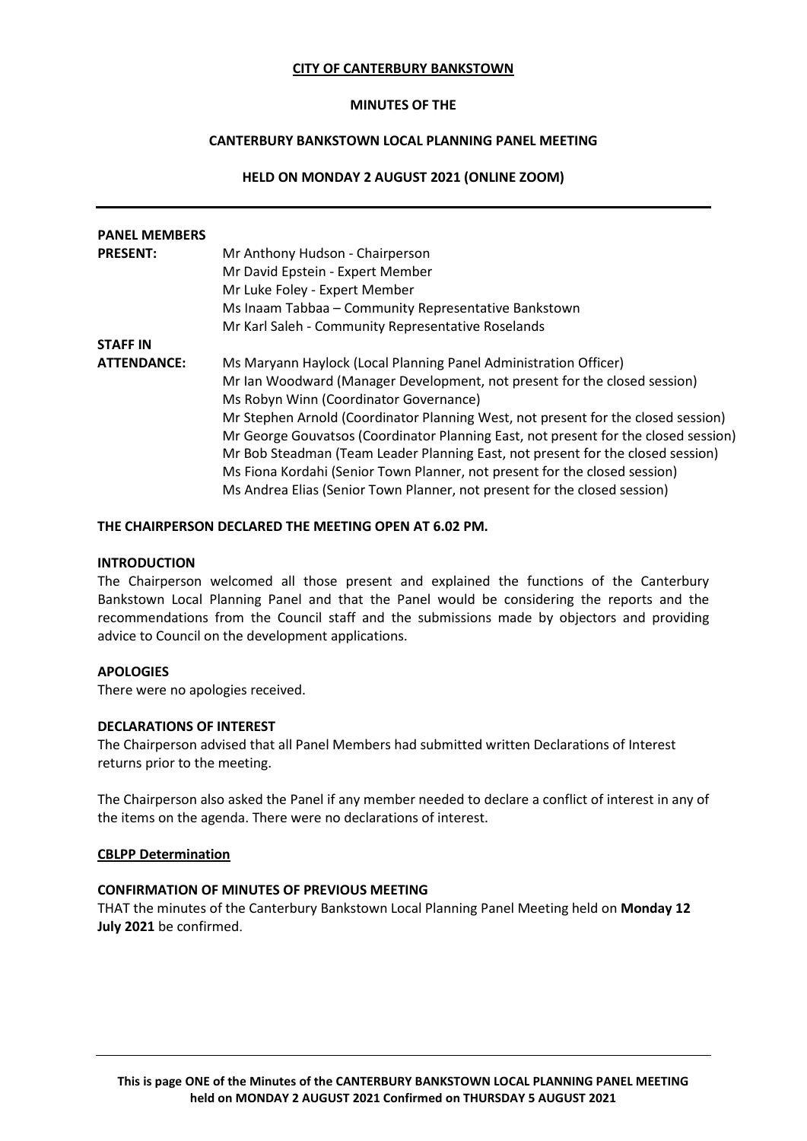### **CITY OF CANTERBURY BANKSTOWN**

## **MINUTES OF THE**

# **CANTERBURY BANKSTOWN LOCAL PLANNING PANEL MEETING**

# **HELD ON MONDAY 2 AUGUST 2021 (ONLINE ZOOM)**

| <b>PANEL MEMBERS</b> |                                                                                     |
|----------------------|-------------------------------------------------------------------------------------|
| <b>PRESENT:</b>      | Mr Anthony Hudson - Chairperson                                                     |
|                      | Mr David Epstein - Expert Member                                                    |
|                      | Mr Luke Foley - Expert Member                                                       |
|                      | Ms Inaam Tabbaa - Community Representative Bankstown                                |
|                      | Mr Karl Saleh - Community Representative Roselands                                  |
| <b>STAFF IN</b>      |                                                                                     |
| <b>ATTENDANCE:</b>   | Ms Maryann Haylock (Local Planning Panel Administration Officer)                    |
|                      | Mr Ian Woodward (Manager Development, not present for the closed session)           |
|                      | Ms Robyn Winn (Coordinator Governance)                                              |
|                      | Mr Stephen Arnold (Coordinator Planning West, not present for the closed session)   |
|                      | Mr George Gouvatsos (Coordinator Planning East, not present for the closed session) |
|                      | Mr Bob Steadman (Team Leader Planning East, not present for the closed session)     |
|                      | Ms Fiona Kordahi (Senior Town Planner, not present for the closed session)          |
|                      | Ms Andrea Elias (Senior Town Planner, not present for the closed session)           |

## **THE CHAIRPERSON DECLARED THE MEETING OPEN AT 6.02 PM.**

#### **INTRODUCTION**

The Chairperson welcomed all those present and explained the functions of the Canterbury Bankstown Local Planning Panel and that the Panel would be considering the reports and the recommendations from the Council staff and the submissions made by objectors and providing advice to Council on the development applications.

### **APOLOGIES**

There were no apologies received.

### **DECLARATIONS OF INTEREST**

The Chairperson advised that all Panel Members had submitted written Declarations of Interest returns prior to the meeting.

The Chairperson also asked the Panel if any member needed to declare a conflict of interest in any of the items on the agenda. There were no declarations of interest.

### **CBLPP Determination**

### **CONFIRMATION OF MINUTES OF PREVIOUS MEETING**

THAT the minutes of the Canterbury Bankstown Local Planning Panel Meeting held on **Monday 12 July 2021** be confirmed.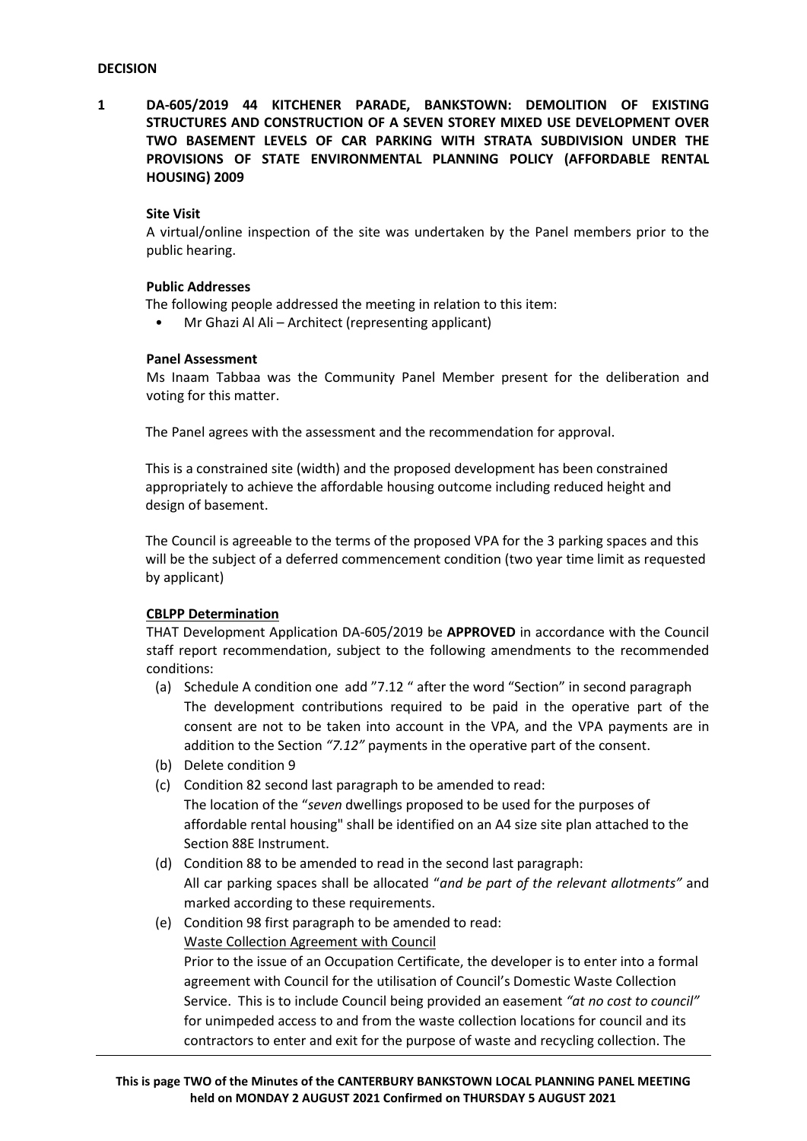**1 DA-605/2019 44 KITCHENER PARADE, BANKSTOWN: DEMOLITION OF EXISTING STRUCTURES AND CONSTRUCTION OF A SEVEN STOREY MIXED USE DEVELOPMENT OVER TWO BASEMENT LEVELS OF CAR PARKING WITH STRATA SUBDIVISION UNDER THE PROVISIONS OF STATE ENVIRONMENTAL PLANNING POLICY (AFFORDABLE RENTAL HOUSING) 2009**

# **Site Visit**

A virtual/online inspection of the site was undertaken by the Panel members prior to the public hearing.

# **Public Addresses**

The following people addressed the meeting in relation to this item:

• Mr Ghazi Al Ali – Architect (representing applicant)

### **Panel Assessment**

Ms Inaam Tabbaa was the Community Panel Member present for the deliberation and voting for this matter.

The Panel agrees with the assessment and the recommendation for approval.

This is a constrained site (width) and the proposed development has been constrained appropriately to achieve the affordable housing outcome including reduced height and design of basement.

The Council is agreeable to the terms of the proposed VPA for the 3 parking spaces and this will be the subject of a deferred commencement condition (two year time limit as requested by applicant)

# **CBLPP Determination**

THAT Development Application DA-605/2019 be **APPROVED** in accordance with the Council staff report recommendation, subject to the following amendments to the recommended conditions:

- (a) Schedule A condition one add "7.12 " after the word "Section" in second paragraph The development contributions required to be paid in the operative part of the consent are not to be taken into account in the VPA, and the VPA payments are in addition to the Section *"7.12"* payments in the operative part of the consent.
- (b) Delete condition 9
- (c) Condition 82 second last paragraph to be amended to read:
	- The location of the "*seven* dwellings proposed to be used for the purposes of affordable rental housing" shall be identified on an A4 size site plan attached to the Section 88E Instrument.
- (d) Condition 88 to be amended to read in the second last paragraph: All car parking spaces shall be allocated "*and be part of the relevant allotments"* and marked according to these requirements.
- (e) Condition 98 first paragraph to be amended to read: Waste Collection Agreement with Council Prior to the issue of an Occupation Certificate, the developer is to enter into a formal agreement with Council for the utilisation of Council's Domestic Waste Collection Service. This is to include Council being provided an easement *"at no cost to council"* for unimpeded access to and from the waste collection locations for council and its contractors to enter and exit for the purpose of waste and recycling collection. The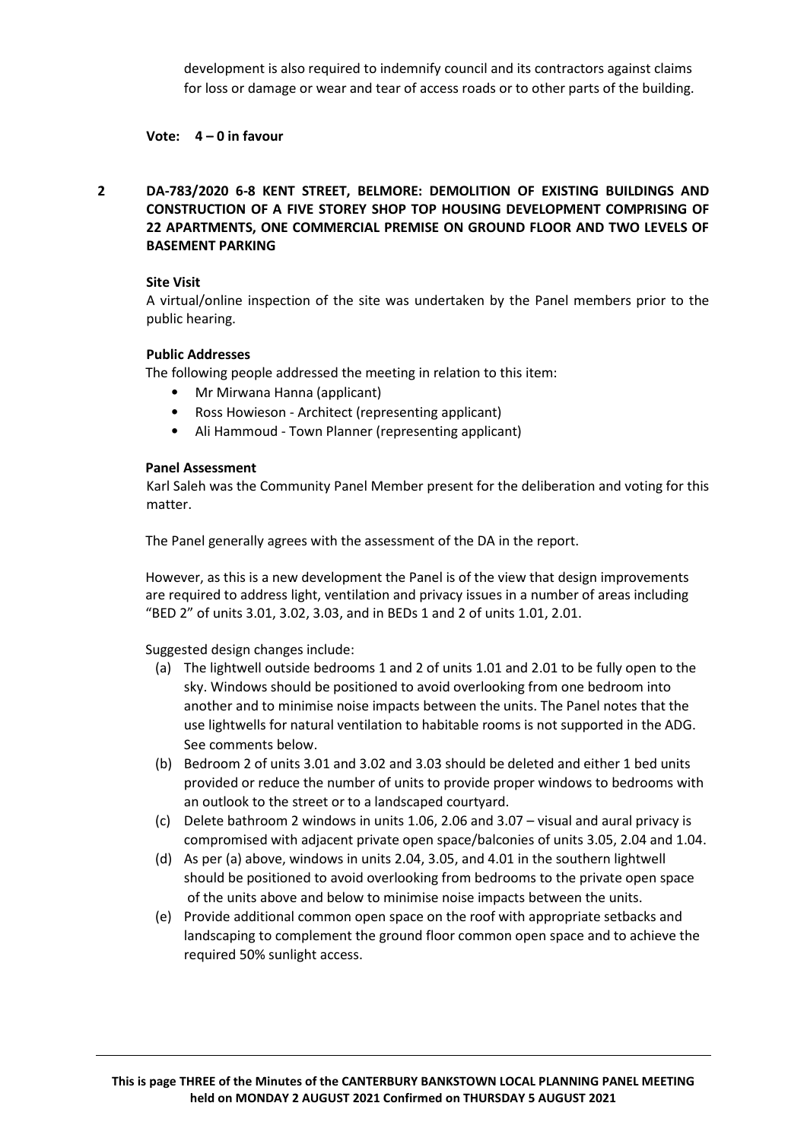development is also required to indemnify council and its contractors against claims for loss or damage or wear and tear of access roads or to other parts of the building.

# **Vote: 4 – 0 in favour**

**2 DA-783/2020 6-8 KENT STREET, BELMORE: DEMOLITION OF EXISTING BUILDINGS AND CONSTRUCTION OF A FIVE STOREY SHOP TOP HOUSING DEVELOPMENT COMPRISING OF 22 APARTMENTS, ONE COMMERCIAL PREMISE ON GROUND FLOOR AND TWO LEVELS OF BASEMENT PARKING**

# **Site Visit**

A virtual/online inspection of the site was undertaken by the Panel members prior to the public hearing.

# **Public Addresses**

The following people addressed the meeting in relation to this item:

- Mr Mirwana Hanna (applicant)
- Ross Howieson Architect (representing applicant)
- Ali Hammoud Town Planner (representing applicant)

## **Panel Assessment**

Karl Saleh was the Community Panel Member present for the deliberation and voting for this matter.

The Panel generally agrees with the assessment of the DA in the report.

However, as this is a new development the Panel is of the view that design improvements are required to address light, ventilation and privacy issues in a number of areas including "BED 2" of units 3.01, 3.02, 3.03, and in BEDs 1 and 2 of units 1.01, 2.01.

Suggested design changes include:

- (a) The lightwell outside bedrooms 1 and 2 of units 1.01 and 2.01 to be fully open to the sky. Windows should be positioned to avoid overlooking from one bedroom into another and to minimise noise impacts between the units. The Panel notes that the use lightwells for natural ventilation to habitable rooms is not supported in the ADG. See comments below.
- (b) Bedroom 2 of units 3.01 and 3.02 and 3.03 should be deleted and either 1 bed units provided or reduce the number of units to provide proper windows to bedrooms with an outlook to the street or to a landscaped courtyard.
- (c) Delete bathroom 2 windows in units 1.06, 2.06 and 3.07 visual and aural privacy is compromised with adjacent private open space/balconies of units 3.05, 2.04 and 1.04.
- (d) As per (a) above, windows in units 2.04, 3.05, and 4.01 in the southern lightwell should be positioned to avoid overlooking from bedrooms to the private open space of the units above and below to minimise noise impacts between the units.
- (e) Provide additional common open space on the roof with appropriate setbacks and landscaping to complement the ground floor common open space and to achieve the required 50% sunlight access.